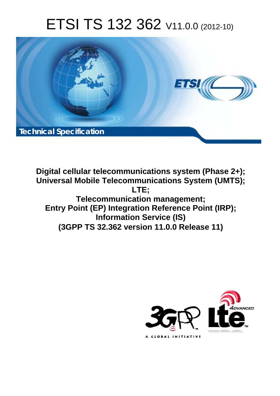# ETSI TS 132 362 V11.0.0 (2012-10)



**Digital cellular telecommunications system (Phase 2+); Universal Mobile Telecommunications System (UMTS); LTE; Telecommunication management; Entry Point (EP) Integration Reference Point (IRP); Information Service (IS) (3GPP TS 32.362 version 11.0.0 Release 11)** 

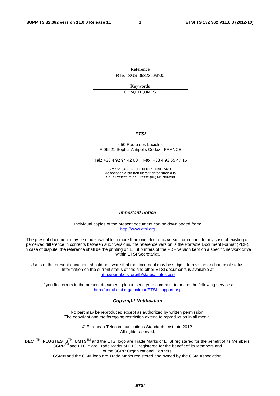Reference RTS/TSGS-0532362vb00

> Keywords GSM,LTE,UMTS

#### *ETSI*

#### 650 Route des Lucioles F-06921 Sophia Antipolis Cedex - FRANCE

Tel.: +33 4 92 94 42 00 Fax: +33 4 93 65 47 16

Siret N° 348 623 562 00017 - NAF 742 C Association à but non lucratif enregistrée à la Sous-Préfecture de Grasse (06) N° 7803/88

#### *Important notice*

Individual copies of the present document can be downloaded from: [http://www.etsi.org](http://www.etsi.org/)

The present document may be made available in more than one electronic version or in print. In any case of existing or perceived difference in contents between such versions, the reference version is the Portable Document Format (PDF). In case of dispute, the reference shall be the printing on ETSI printers of the PDF version kept on a specific network drive within ETSI Secretariat.

Users of the present document should be aware that the document may be subject to revision or change of status. Information on the current status of this and other ETSI documents is available at <http://portal.etsi.org/tb/status/status.asp>

If you find errors in the present document, please send your comment to one of the following services: [http://portal.etsi.org/chaircor/ETSI\\_support.asp](http://portal.etsi.org/chaircor/ETSI_support.asp)

#### *Copyright Notification*

No part may be reproduced except as authorized by written permission. The copyright and the foregoing restriction extend to reproduction in all media.

> © European Telecommunications Standards Institute 2012. All rights reserved.

**DECT**TM, **PLUGTESTS**TM, **UMTS**TM and the ETSI logo are Trade Marks of ETSI registered for the benefit of its Members. **3GPP**TM and **LTE**™ are Trade Marks of ETSI registered for the benefit of its Members and of the 3GPP Organizational Partners.

**GSM**® and the GSM logo are Trade Marks registered and owned by the GSM Association.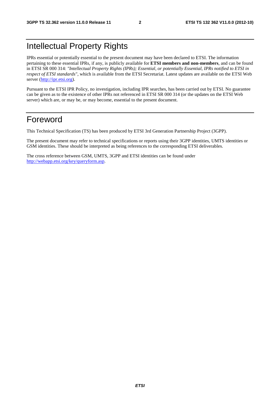### Intellectual Property Rights

IPRs essential or potentially essential to the present document may have been declared to ETSI. The information pertaining to these essential IPRs, if any, is publicly available for **ETSI members and non-members**, and can be found in ETSI SR 000 314: *"Intellectual Property Rights (IPRs); Essential, or potentially Essential, IPRs notified to ETSI in respect of ETSI standards"*, which is available from the ETSI Secretariat. Latest updates are available on the ETSI Web server [\(http://ipr.etsi.org](http://webapp.etsi.org/IPR/home.asp)).

Pursuant to the ETSI IPR Policy, no investigation, including IPR searches, has been carried out by ETSI. No guarantee can be given as to the existence of other IPRs not referenced in ETSI SR 000 314 (or the updates on the ETSI Web server) which are, or may be, or may become, essential to the present document.

### Foreword

This Technical Specification (TS) has been produced by ETSI 3rd Generation Partnership Project (3GPP).

The present document may refer to technical specifications or reports using their 3GPP identities, UMTS identities or GSM identities. These should be interpreted as being references to the corresponding ETSI deliverables.

The cross reference between GSM, UMTS, 3GPP and ETSI identities can be found under [http://webapp.etsi.org/key/queryform.asp.](http://webapp.etsi.org/key/queryform.asp)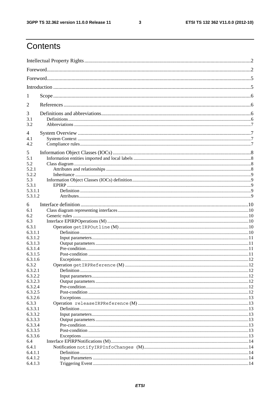$\mathbf{3}$ 

### Contents

| 1                  |  |
|--------------------|--|
| 2                  |  |
| 3                  |  |
| 3.1<br>3.2         |  |
| 4                  |  |
| 4.1                |  |
| 4.2                |  |
| 5                  |  |
| 5.1<br>5.2         |  |
| 5.2.1              |  |
| 5.2.2              |  |
| 5.3                |  |
| 5.3.1              |  |
| 5.3.1.1            |  |
| 5.3.1.2            |  |
| 6                  |  |
| 6.1                |  |
| 6.2                |  |
| 6.3                |  |
| 6.3.1              |  |
| 6.3.1.1            |  |
| 6.3.1.2            |  |
| 6.3.1.3            |  |
| 6.3.1.4            |  |
| 6.3.1.5<br>6.3.1.6 |  |
| 6.3.2              |  |
| 6.3.2.1            |  |
| 6.3.2.2            |  |
| 6.3.2.3            |  |
| 6.3.2.4            |  |
| 6.3.2.5            |  |
| 6.3.2.6            |  |
| 6.3.3              |  |
| 6.3.3.1            |  |
| 6.3.3.2            |  |
| 6.3.3.3            |  |
| 6.3.3.4<br>6.3.3.5 |  |
| 6.3.3.6            |  |
| 6.4                |  |
| 6.4.1              |  |
| 6.4.1.1            |  |
| 6.4.1.2            |  |
| 6.4.1.3            |  |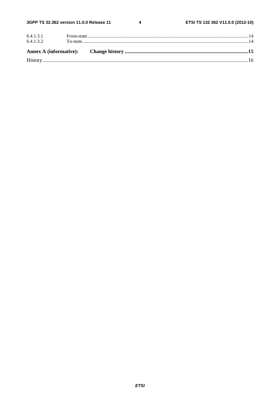$\overline{\mathbf{4}}$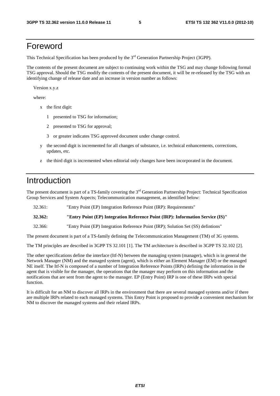### Foreword

This Technical Specification has been produced by the 3<sup>rd</sup> Generation Partnership Project (3GPP).

The contents of the present document are subject to continuing work within the TSG and may change following formal TSG approval. Should the TSG modify the contents of the present document, it will be re-released by the TSG with an identifying change of release date and an increase in version number as follows:

Version x.y.z

where:

- x the first digit:
	- 1 presented to TSG for information;
	- 2 presented to TSG for approval;
	- 3 or greater indicates TSG approved document under change control.
- y the second digit is incremented for all changes of substance, i.e. technical enhancements, corrections, updates, etc.
- z the third digit is incremented when editorial only changes have been incorporated in the document.

### Introduction

The present document is part of a TS-family covering the 3<sup>rd</sup> Generation Partnership Project: Technical Specification Group Services and System Aspects; Telecommunication management, as identified below:

32.361: "Entry Point (EP) Integration Reference Point (IRP): Requirements"

**32.362: "Entry Point (EP) Integration Reference Point (IRP): Information Service (IS)"** 

32.366: "Entry Point (EP) Integration Reference Point (IRP); Solution Set (SS) defintions"

The present document is part of a TS-family defining the Telecommunication Management (TM) of 3G systems.

The TM principles are described in 3GPP TS 32.101 [1]. The TM architecture is described in 3GPP TS 32.102 [2].

The other specifications define the interface (Itf-N) between the managing system (manager), which is in general the Network Manager (NM) and the managed system (agent), which is either an Element Manager (EM) or the managed NE itself. The Itf-N is composed of a number of Integration Reference Points (IRPs) defining the information in the agent that is visible for the manager, the operations that the manager may perform on this information and the notifications that are sent from the agent to the manager. EP (Entry Point) IRP is one of these IRPs with special function.

It is difficult for an NM to discover all IRPs in the environment that there are several managed systems and/or if there are multiple IRPs related to each managed systems. This Entry Point is proposed to provide a convenient mechanism for NM to discover the managed systems and their related IRPs.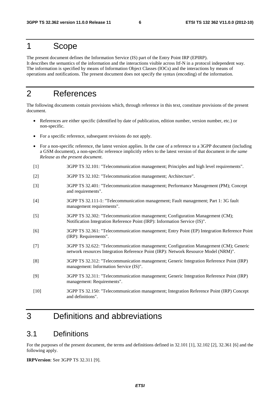### 1 Scope

The present document defines the Information Service (IS) part of the Entry Point IRP (EPIRP). It describes the semantics of the information and the interactions visible across Itf-N in a protocol independent way. The information is specified by means of Information Object Classes (IOCs) and the interactions by means of operations and notifications. The present document does not specify the syntax (encoding) of the information.

### 2 References

The following documents contain provisions which, through reference in this text, constitute provisions of the present document.

- References are either specific (identified by date of publication, edition number, version number, etc.) or non-specific.
- For a specific reference, subsequent revisions do not apply.
- For a non-specific reference, the latest version applies. In the case of a reference to a 3GPP document (including a GSM document), a non-specific reference implicitly refers to the latest version of that document *in the same Release as the present document*.
- [1] 3GPP TS 32.101: "Telecommunication management; Principles and high level requirements".
- [2] 3GPP TS 32.102: "Telecommunication management; Architecture".
- [3] 3GPP TS 32.401: "Telecommunication management; Performance Management (PM); Concept and requirements".
- [4] 3GPP TS 32.111-1: "Telecommunication management; Fault management; Part 1: 3G fault management requirements".
- [5] 3GPP TS 32.302: "Telecommunication management; Configuration Management (CM); Notification Integration Reference Point (IRP): Information Service (IS)".
- [6] 3GPP TS 32.361: "Telecommunication management; Entry Point (EP) Integration Reference Point (IRP): Requirements".
- [7] 3GPP TS 32.622: "Telecommunication management; Configuration Management (CM); Generic network resources Integration Reference Point (IRP): Network Resource Model (NRM)".
- [8] 3GPP TS 32.312: "Telecommunication management; Generic Integration Reference Point (IRP) management: Information Service (IS)".
- [9] 3GPP TS 32.311: "Telecommunication management; Generic Integration Reference Point (IRP) management: Requirements".
- [10] 3GPP TS 32.150: "Telecommunication management; Integration Reference Point (IRP) Concept and definitions".

### 3 Definitions and abbreviations

### 3.1 Definitions

For the purposes of the present document, the terms and definitions defined in 32.101 [1], 32.102 [2], 32.361 [6] and the following apply.

**IRPVersion**: See 3GPP TS 32.311 [9].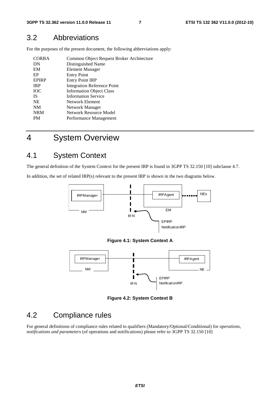### 3.2 Abbreviations

For the purposes of the present document, the following abbreviations apply:

| <b>CORBA</b> | Common Object Request Broker Architecture |
|--------------|-------------------------------------------|
| DN           | Distinguished Name                        |
| EM           | <b>Element Manager</b>                    |
| EP           | <b>Entry Point</b>                        |
| <b>EPIRP</b> | <b>Entry Point IRP</b>                    |
| <b>IRP</b>   | <b>Integration Reference Point</b>        |
| <b>IOC</b>   | <b>Information Object Class</b>           |
| <b>IS</b>    | <b>Information Service</b>                |
| <b>NE</b>    | Network Element                           |
| <b>NM</b>    | Network Manager                           |
| <b>NRM</b>   | Network Resource Model                    |
| <b>PM</b>    | Performance Management                    |

4 System Overview

### 4.1 System Context

The general definition of the System Context for the present IRP is found in 3GPP TS 32.150 [10] subclause 4.7.

In addition, the set of related IRP(s) relevant to the present IRP is shown in the two diagrams below.



**Figure 4.1: System Context A** 



**Figure 4.2: System Context B** 

### 4.2 Compliance rules

For general definitions of compliance rules related to qualifiers (Mandatory/Optional/Conditional) for *operations*, *notifications and parameters* (of operations and notifications) please refer to 3GPP TS 32.150 [10]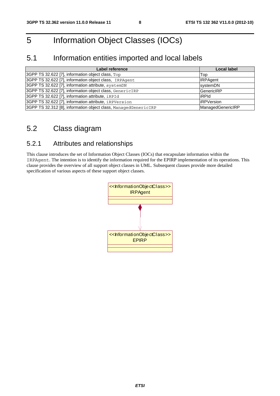### 5 Information Object Classes (IOCs)

### 5.1 Information entities imported and local labels

| Label reference                                                 | Local label       |
|-----------------------------------------------------------------|-------------------|
| 3GPP TS 32.622 [7], information object class, Top               | Top               |
| 3GPP TS 32.622 [7], information object class, IRPAgent          | <b>IRPAgent</b>   |
| 3GPP TS 32.622 [7], information attribute, systemDN             | systemDN          |
| 3GPP TS 32.622 [7], information object class, GenericIRP        | <b>GenericIRP</b> |
| 3GPP TS 32.622 [7], information attribute, iRPId                | iRPId             |
| 3GPP TS 32.622 [7], information attribute, iRPVersion           | <b>IRPVersion</b> |
| 3GPP TS 32.312 [8], information object class, ManagedGenericIRP | ManagedGenericIRP |

### 5.2 Class diagram

### 5.2.1 Attributes and relationships

This clause introduces the set of Information Object Classes (IOCs) that encapsulate information within the IRPAgent. The intention is to identify the information required for the EPIRP implementation of its operations. This clause provides the overview of all support object classes in UML. Subsequent clauses provide more detailed specification of various aspects of these support object classes.

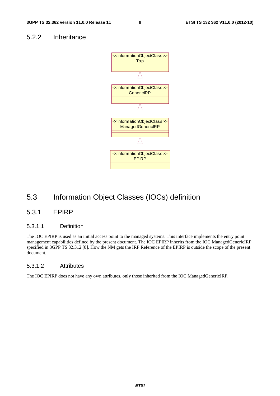#### 5.2.2 Inheritance



### 5.3 Information Object Classes (IOCs) definition

#### 5.3.1 EPIRP

#### 5.3.1.1 Definition

The IOC EPIRP is used as an initial access point to the managed systems. This interface implements the entry point management capabilities defined by the present document. The IOC EPIRP inherits from the IOC ManagedGenericIRP specified in 3GPP TS 32.312 [8]. How the NM gets the IRP Reference of the EPIRP is outside the scope of the present document.

#### 5.3.1.2 Attributes

The IOC EPIRP does not have any own attributes, only those inherited from the IOC ManagedGenericIRP.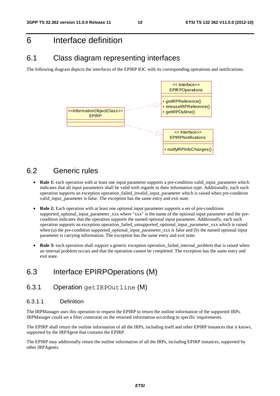### 6 Interface definition

### 6.1 Class diagram representing interfaces

The following diagram depicts the interfaces of the EPIRP IOC with its corresponding operations and notifications.



### 6.2 Generic rules

- **Rule 1:** each operation with at least one input parameter supports a pre-condition valid input parameter which indicates that all input parameters shall be valid with regards to their information type. Additionally, each such operation supports an exception operation\_failed\_invalid\_input\_parameter which is raised when pre-condition valid input parameter is false. The exception has the same entry and exit state.
- **Rule 2:** Each operation with at least one optional input parameter supports a set of pre-conditions supported optional input parameter xxx where "xxx" is the name of the optional input parameter and the precondition indicates that the operation supports the named optional input parameter. Additionally, each such operation supports an exception operation\_failed\_unsupported\_optional\_input\_parameter\_xxx which is raised when (a) the pre-condition supported\_optional\_input\_parameter\_xxx is false and (b) the named optional input parameter is carrying information. The exception has the same entry and exit state.
- **Rule 3:** each operation shall support a generic exception operation failed internal problem that is raised when an internal problem occurs and that the operation cannot be completed. The exception has the same entry and exit state.

### 6.3 Interface EPIRPOperations (M)

### 6.3.1 Operation getIRPOutline (M)

#### 6.3.1.1 Definition

The IRPManager uses this operation to request the EPIRP to return the outline information of the supported IRPs. IRPManager could set a filter constraint on the returned information according to specific requirements.

The EPIRP shall return the outline information of all the IRPs, including itself and other EPIRP instances that it knows, supported by the IRPAgent that contains the EPIRP.

The EPIRP may additionally return the outline information of all the IRPs, including EPIRP instances, supported by other IRPAgents.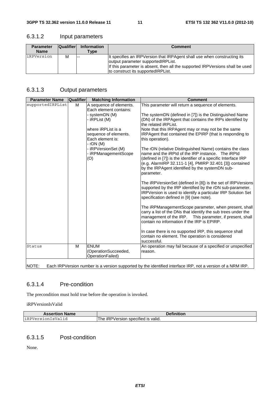#### 6.3.1.2 Input parameters

| <b>Parameter</b> | <b>Qualifier</b> | Information | <b>Comment</b>                                                                                                                                                                                                                          |
|------------------|------------------|-------------|-----------------------------------------------------------------------------------------------------------------------------------------------------------------------------------------------------------------------------------------|
| <b>Name</b>      |                  | $T$ ype     |                                                                                                                                                                                                                                         |
| iRPVersion       | M                | $- -$       | It specifies an IRPVersion that IRPAgent shall use when constructing its<br>output parameter supported RPL ist.<br>If this parameter is absent, then all the supported IRPVersions shall be used<br>to construct its supported RPL ist. |

#### 6.3.1.3 Output parameters

| <b>Parameter Name</b> | <b>Qualifier</b> | <b>Matching Information</b>                                                  | <b>Comment</b>                                                                                                                                                                                                                                                                                               |
|-----------------------|------------------|------------------------------------------------------------------------------|--------------------------------------------------------------------------------------------------------------------------------------------------------------------------------------------------------------------------------------------------------------------------------------------------------------|
| supportedIRPList      | M                | A sequence of elements.<br>Each element contains:                            | This parameter will return a sequence of elements.                                                                                                                                                                                                                                                           |
|                       |                  | systemDN (M)<br>- iRPList (M)                                                | The systemDN (defined in [7]) is the Distinguished Name<br>(DN) of the IRPAgent that contains the IRPs identified by<br>the related <i>iRPList</i> .                                                                                                                                                         |
|                       |                  | where iRPList is a<br>sequence of elements.<br>Each element is:<br>- rDN (M) | Note that this IRPAgent may or may not be the same<br>IRPAgent that contained the EPIRP (that is responding to<br>this operation).                                                                                                                                                                           |
|                       |                  | - iRPVersionSet (M)<br>- iRPManagementScope<br>(O)                           | The rDN (relative Distinguished Name) contains the class<br>name and the iRPId of the IRP instance. The iRPId<br>(defined in [7]) is the identifier of a specific Interface IRP<br>(e.g. AlarmIRP 32.111-1 [4], PMIRP 32.401 [3]) contained<br>by the IRPAgent identified by the systemDN sub-<br>parameter. |
|                       |                  |                                                                              | The iRPVersionSet (defined in [8]) is the set of IRPVersions<br>supported by the IRP identified by the rDN sub-parameter.<br>IRPVersion is used to identify a particular IRP Solution Set<br>specification defined in [9] (see note).                                                                        |
|                       |                  |                                                                              | The iRPManagementScope parameter, when present, shall<br>carry a list of the DNs that identify the sub trees under the<br>management of the IRP. This parameter, if present, shall<br>contain no information if the IRP is EPIRP.                                                                            |
|                       |                  |                                                                              | In case there is no supported IRP, this sequence shall<br>contain no element. The operation is considered<br>successful.                                                                                                                                                                                     |
| Status                | M                | <b>ENUM</b><br>(OperationSucceeded,<br>OperationFailed)                      | An operation may fail because of a specified or unspecified<br>reason.                                                                                                                                                                                                                                       |
| NOTE:                 |                  |                                                                              | Each IRPVersion number is a version supported by the identified interface IRP, not a version of a NRM IRP.                                                                                                                                                                                                   |

#### 6.3.1.4 Pre-condition

The precondition must hold true before the operation is invoked.

iRPVersionIsValid

| <b>Assertion Name</b> | <b>Definition</b>                  |
|-----------------------|------------------------------------|
| liRPVersionIsValid    | The iRPVersion specified is valid. |

#### 6.3.1.5 Post-condition

None.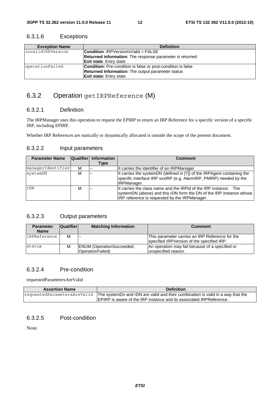| <b>Exception Name</b> | <b>Definition</b>                                                   |
|-----------------------|---------------------------------------------------------------------|
| linvalidIRPVersion    | <b>Condition:</b> $iRPVersionlsValid = FALSE$                       |
|                       | <b>Returned information:</b> The response parameter is returned     |
|                       | <b>Exit state:</b> Entry state                                      |
| operationFailed       | <b>Condition:</b> Pre-condition is false or post-condition is false |
|                       | <b>Returned Information:</b> The output parameter status            |
|                       | <b>Exit state:</b> Entry state                                      |

#### 6.3.1.6 Exceptions

#### 6.3.2 Operation getIRPReference (M)

#### 6.3.2.1 Definition

The IRPManager uses this operation to request the EPIRP to return an IRP Reference for a specific version of a specific IRP, including EPIRP.

Whether IRP References are statically or dynamically allocated is outside the scope of the present document.

#### 6.3.2.2 Input parameters

| <b>Parameter Name</b> |   | Qualifier Information<br><b>Type</b> | Comment                                                                                                                                                                                  |
|-----------------------|---|--------------------------------------|------------------------------------------------------------------------------------------------------------------------------------------------------------------------------------------|
| managerIdentifier     | м |                                      | It carries the identifier of an IRPManager.                                                                                                                                              |
| systemDN              | м |                                      | It carries the systemDN (defined in [7]) of the IRPAgent containing the<br>specific interface IRP xxxIRP (e.g. AlarmIRP, PMIRP) needed by the<br><b>IRPManager.</b>                      |
| rDN                   | м |                                      | It carries the class name and the iRPId of the IRP instance. The<br>systemDN (above) and this rDN form the DN of the IRP instance whose<br>IRP reference is requested by the IRPManager. |

#### 6.3.2.3 Output parameters

| <b>Parameter</b><br><b>Name</b> | <b>Qualifier</b> | <b>Matching Information</b>                          | <b>Comment</b>                                                                                |
|---------------------------------|------------------|------------------------------------------------------|-----------------------------------------------------------------------------------------------|
| iRPReference                    | м                | <u>.</u>                                             | This parameter carries an IRP Reference for the<br>specified IRPVersion of the specified IRP. |
| status                          | M                | <b>ENUM</b> (OperationSucceeded,<br>OperationFailed) | An operation may fail because of a specified or<br>lunspecified reason.                       |

#### 6.3.2.4 Pre-condition

requestedParametersAreValid

| <b>Assertion Name</b> | <b>Definition</b>                                                                                           |
|-----------------------|-------------------------------------------------------------------------------------------------------------|
|                       | requestedParametersAreValid The systemDn and rDN are valid and their combination is valid in a way that the |
|                       | <b>IEPIRP</b> is aware of the IRP instance and its associated IRPReference.                                 |

#### 6.3.2.5 Post-condition

None.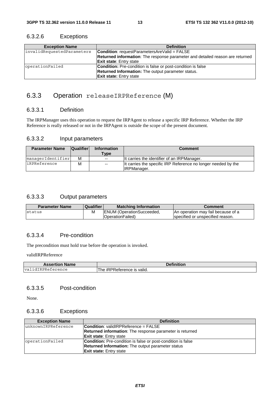| <b>Exception Name</b>      | <b>Definition</b>                                                             |
|----------------------------|-------------------------------------------------------------------------------|
| invalidRequestedParameters | <b>Condition:</b> requestParametersAreValid = $FALSE$                         |
|                            | Returned information: The response parameter and detailed reason are returned |
|                            | <b>Exit state:</b> Entry state                                                |
| operationFailed            | <b>Condition:</b> Pre-condition is false or post-condition is false           |
|                            | <b>Returned Information:</b> The output parameter status.                     |
|                            | <b>Exit state:</b> Entry state                                                |

#### 6.3.2.6 Exceptions

#### 6.3.3 Operation releaseIRPReference (M)

#### 6.3.3.1 Definition

The IRPManager uses this operation to request the IRPAgent to release a specific IRP Reference. Whether the IRP Reference is really released or not in the IRPAgent is outside the scope of the present document.

#### 6.3.3.2 Input parameters

| <b>Parameter Name</b> | <b>Qualifier</b> | <b>Information</b><br>$T$ ype | <b>Comment</b>                                                                      |
|-----------------------|------------------|-------------------------------|-------------------------------------------------------------------------------------|
| managerIdentifier     | м                | $-$                           | It carries the identifier of an IRPManager.                                         |
| iRPReference          | M                | $-$                           | It carries the specific IRP Reference no longer needed by the<br><b>IRPManager.</b> |

#### 6.3.3.3 Output parameters

| <b>Parameter Name</b> | <b>Qualifier</b> | <b>Matching Information</b>      | Comment                            |
|-----------------------|------------------|----------------------------------|------------------------------------|
| Istatus               | М                | <b>ENUM</b> (OperationSucceeded, | An operation may fail because of a |
|                       |                  | <b>OperationFailed</b> )         | Ispecified or unspecified reason.  |

#### 6.3.3.4 Pre-condition

The precondition must hold true before the operation is invoked.

validIRPReference

| <b>Assertion Name</b>       | <b>Definition</b>          |
|-----------------------------|----------------------------|
| dIRPReference<br>val<br>idT | The iRPReference is valid. |

#### 6.3.3.5 Post-condition

None.

#### 6.3.3.6 Exceptions

| <b>Exception Name</b> | <b>Definition</b>                                                   |
|-----------------------|---------------------------------------------------------------------|
| unknownIRPReference   | <b>Condition: validIRPReference = FALSE</b>                         |
|                       | <b>Returned information:</b> The response parameter is returned     |
|                       | <b>Exit state:</b> Entry state                                      |
| operationFailed       | <b>Condition:</b> Pre-condition is false or post-condition is false |
|                       | Returned Information: The output parameter status                   |
|                       | <b>Exit state:</b> Entry state                                      |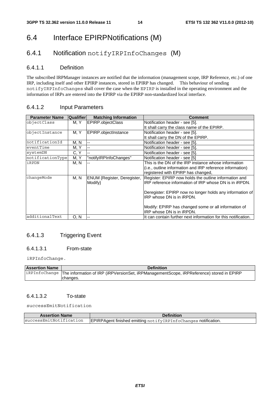### 6.4 Interface EPIRPNotifications (M)

### 6.4.1 Notification notifyIRPInfoChanges (M)

#### 6.4.1.1 Definition

The subscribed IRPManager instances are notified that the information (management scope, IRP Reference, etc.) of one IRP, including itself and other EPIRP instances, stored in EPIRP has changed. This behaviour of sending notifyIRPInfoChanges shall cover the case when the EPIRP is installed in the operating environment and the information of IRPs are entered into the EPIRP via the EPIRP non-standardized local interface.

#### 6.4.1.2 Input Parameters

| <b>Parameter Name</b> | <b>Qualifier</b> | <b>Matching Information</b> | <b>Comment</b>                                                 |
|-----------------------|------------------|-----------------------------|----------------------------------------------------------------|
| objectClass           | M, Y             | EPIRP.objectClass           | Notification header - see [5].                                 |
|                       |                  |                             | It shall carry the class name of the EPIRP.                    |
| objectInstance        | M. Y             | EPIRP.objectInstance        | Notification header - see [5].                                 |
|                       |                  |                             | It shall carry the DN of the EPIRP.                            |
| notificationId        | M, N             | --                          | Notification header - see [5].                                 |
| eventTime             | M. Y             | --                          | Notification header - see [5].                                 |
| systemDN              | C, Y             | --                          | Notification header - see [5].                                 |
| notificationType      | M, Y             | "notifyIRPInfoChanges"      | Notification header - see [5]                                  |
| iRPDN                 | M, N             |                             | This is the DN of the IRP instance whose information           |
|                       |                  |                             | (i.e., outline information and IRP reference information)      |
|                       |                  |                             | registered with EPIRP has changed,                             |
| changeMode            | M, N             | ENUM {Register, Deregister, | Register: EPIRP now holds the outline information and          |
|                       |                  | Modify}                     | IRP reference information of IRP whose DN is in iRPDN.         |
|                       |                  |                             | Deregister: EPIRP now no longer holds any information of       |
|                       |                  |                             | IRP whose DN is in iRPDN.                                      |
|                       |                  |                             | Modify: EPIRP has changed some or all information of           |
|                       |                  |                             | IRP whose DN is in iRPDN.                                      |
| additionalText        | O. N             | $\overline{a}$              | It can contain further next information for this notification. |

#### 6.4.1.3 Triggering Event

#### 6.4.1.3.1 From-state

iRPInfoChange.

| <b>Assertion Name</b> | <b>Definition</b>                                                                                        |
|-----------------------|----------------------------------------------------------------------------------------------------------|
|                       | iRPInfoChange   The information of IRP (iRPVersionSet, iRPManagementScope, iRPReference) stored in EPIRP |
|                       | Ichanges.                                                                                                |

#### 6.4.1.3.2 To-state

successEmitNotification

| <b>Assertion Name</b> | <b>Definition</b>                                                                         |
|-----------------------|-------------------------------------------------------------------------------------------|
|                       | successEmitNotification   EPIRPAgent finished emitting notifyIRPInfoChanges notification. |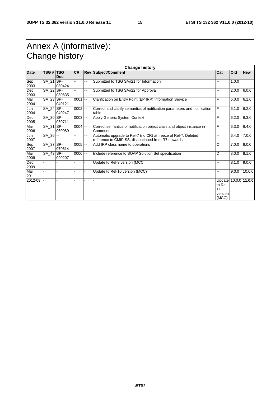### Annex A (informative): Change history

| <b>Change history</b> |             |        |            |                |                                                                                                                       |                                                           |       |            |
|-----------------------|-------------|--------|------------|----------------|-----------------------------------------------------------------------------------------------------------------------|-----------------------------------------------------------|-------|------------|
| <b>Date</b>           | TSG # TSG   | Doc.   | <b>CR</b>  |                | <b>Rev Subject/Comment</b>                                                                                            | Cat                                                       | Old   | <b>New</b> |
| Sep<br>2003           | SA_21 SP-   | 030424 | -−         | --             | Submitted to TSG SA#21 for Information                                                                                | --                                                        | 1.0.0 |            |
| Dec<br>2003           | SA 22 SP-   | 030635 | --         | --             | Submitted to TSG SA#22 for Approval                                                                                   | --                                                        | 2.0.0 | 6.0.0      |
| Mar<br>2004           | $SA_23$ SP- | 040121 | $0001$ --  |                | Clarification on Entry Point (EP IRP) Information Service                                                             | F                                                         | 6.0.0 | 6.1.0      |
| Jun<br>2004           | SA 24 SP-   | 040247 | $0002$ --  |                | Correct and clarify semantics of notification parameters and notification<br>table                                    | F                                                         | 6.1.0 | 6.2.0      |
| Dec<br>2005           | SA_30 SP-   | 050711 | $0003$ $-$ |                | Apply Generic System Context                                                                                          | F                                                         | 6.2.0 | 6.3.0      |
| Mar<br>2006           | SA_31 SP-   | 060089 | $0004$ $-$ |                | Correct semantics of notification object class and object instance in<br>Comment                                      | F                                                         | 6.3.0 | 6.4.0      |
| Jun<br>2007           | $SA_36$ --  |        | --         | Ξ.             | Automatic upgrade to Rel-7 (no CR) at freeze of Rel-7. Deleted<br>reference to CMIP SS, discontinued from R7 onwards. | $- -$                                                     | 6.4.0 | 7.0.0      |
| Sep<br>2007           | SA_37 SP-   | 070614 | $0005$ $-$ |                | Add IRP class name to operations                                                                                      | C                                                         | 7.0.0 | 8.0.0      |
| Mar<br>2009           | $SA_43$ SP- | 090207 | $0006$ --  |                | Include reference to SOAP Solution Set specification                                                                  | D                                                         | 8.0.0 | 8.1.0      |
| Dec<br>2009           |             |        |            | ÷              | Update to Rel-9 version (MCC                                                                                          | н.                                                        | 8.1.0 | 9.0.0      |
| Mar<br>2011           |             |        |            |                | Update to Rel-10 version (MCC)                                                                                        | ц.                                                        | 9.0.0 | 10.0.0     |
| 2012-09               |             |        |            | $\overline{a}$ |                                                                                                                       | Update 10.0.0 11.0.0<br>to Rel-<br>11<br>version<br>(MCC) |       |            |